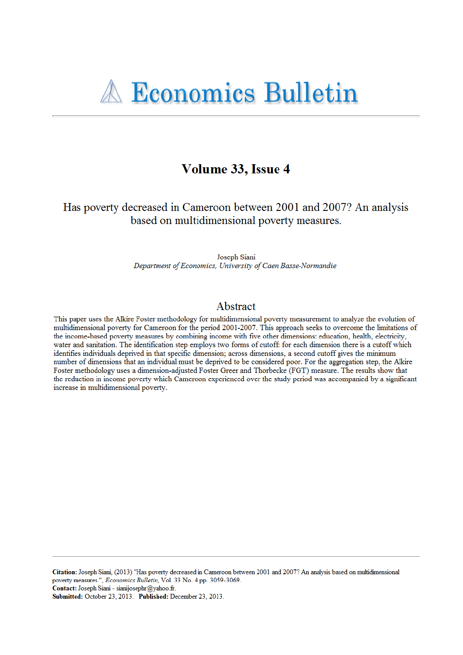# Volume 33, Issue 4

Has poverty decreased in Cameroon between 2001 and 2007? An analysis based on multidimensional poverty measures.

> Joseph Siani Department of Economics, University of Caen Basse-Normandie

#### Abstract

This paper uses the Alkire Foster methodology for multidimensional poverty measurement to analyze the evolution of multidimensional poverty for Cameroon for the period 2001-2007. This approach seeks to overcome the limitations of the income-based poverty measures by combining income with five other dimensions: education, health, electricity, water and sanitation. The identification step employs two forms of cutoff: for each dimension there is a cutoff which identifies individuals deprived in that specific dimension; across dimensions, a second cutoff gives the minimum number of dimensions that an individual must be deprived to be considered poor. For the aggregation step, the Alkire Foster methodology uses a dimension-adjusted Foster Greer and Thorbecke (FGT) measure. The results show that the reduction in income poverty which Cameroon experienced over the study period was accompanied by a significant increase in multidimensional poverty.

Citation: Joseph Siani, (2013) "Has poverty decreased in Cameroon between 2001 and 2007? An analysis based on multidimensional poverty measures.", Economics Bulletin, Vol. 33 No. 4 pp. 3059-3069. Contact: Joseph Siani - sianijosephr@yahoo.fr.

Submitted: October 23, 2013. Published: December 23, 2013.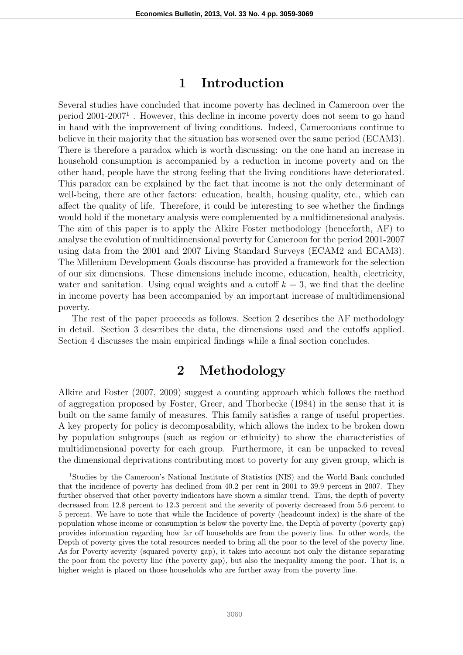## 1 Introduction

Several studies have concluded that income poverty has declined in Cameroon over the period 2001-2007<sup>1</sup>. However, this decline in income poverty does not seem to go hand in hand with the improvement of living conditions. Indeed, Cameroonians continue to believe in their majority that the situation has worsened over the same period (ECAM3). There is therefore a paradox which is worth discussing: on the one hand an increase in household consumption is accompanied by a reduction in income poverty and on the other hand, people have the strong feeling that the living conditions have deteriorated. This paradox can be explained by the fact that income is not the only determinant of well-being, there are other factors: education, health, housing quality, etc., which can affect the quality of life. Therefore, it could be interesting to see whether the findings would hold if the monetary analysis were complemented by a multidimensional analysis. The aim of this paper is to apply the Alkire Foster methodology (henceforth, AF) to analyse the evolution of multidimensional poverty for Cameroon for the period 2001-2007 using data from the 2001 and 2007 Living Standard Surveys (ECAM2 and ECAM3). The Millenium Development Goals discourse has provided a framework for the selection of our six dimensions. These dimensions include income, education, health, electricity, water and sanitation. Using equal weights and a cutoff  $k = 3$ , we find that the decline in income poverty has been accompanied by an important increase of multidimensional poverty.

The rest of the paper proceeds as follows. Section 2 describes the AF methodology in detail. Section 3 describes the data, the dimensions used and the cutoffs applied. Section 4 discusses the main empirical findings while a final section concludes.

# 2 Methodology

Alkire and Foster (2007, 2009) suggest a counting approach which follows the method of aggregation proposed by Foster, Greer, and Thorbecke (1984) in the sense that it is built on the same family of measures. This family satisfies a range of useful properties. A key property for policy is decomposability, which allows the index to be broken down by population subgroups (such as region or ethnicity) to show the characteristics of multidimensional poverty for each group. Furthermore, it can be unpacked to reveal the dimensional deprivations contributing most to poverty for any given group, which is

<sup>1</sup>Studies by the Cameroon's National Institute of Statistics (NIS) and the World Bank concluded that the incidence of poverty has declined from 40.2 per cent in 2001 to 39.9 percent in 2007. They further observed that other poverty indicators have shown a similar trend. Thus, the depth of poverty decreased from 12.8 percent to 12.3 percent and the severity of poverty decreased from 5.6 percent to 5 percent. We have to note that while the Incidence of poverty (headcount index) is the share of the population whose income or consumption is below the poverty line, the Depth of poverty (poverty gap) provides information regarding how far off households are from the poverty line. In other words, the Depth of poverty gives the total resources needed to bring all the poor to the level of the poverty line. As for Poverty severity (squared poverty gap), it takes into account not only the distance separating the poor from the poverty line (the poverty gap), but also the inequality among the poor. That is, a higher weight is placed on those households who are further away from the poverty line.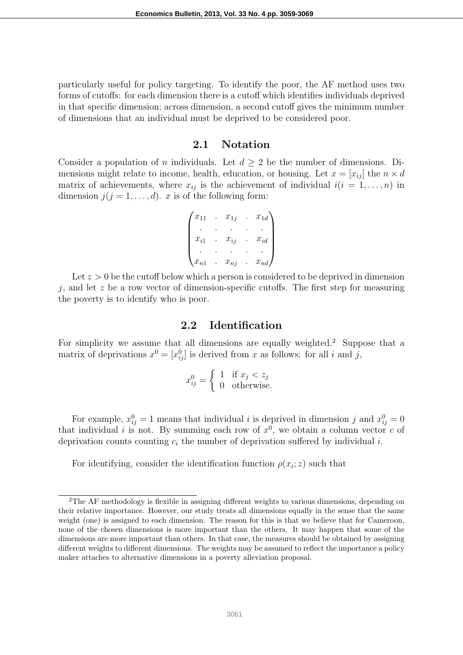particularly useful for policy targeting. To identify the poor, the AF method uses two forms of cutoffs: for each dimension there is a cutoff which identifies individuals deprived in that specific dimension; across dimension, a second cutoff gives the minimum number of dimensions that an individual must be deprived to be considered poor.

#### 2.1 Notation

Consider a population of *n* individuals. Let  $d \geq 2$  be the number of dimensions. Dimensions might relate to income, health, education, or housing. Let  $x = [x_{ij}]$  the  $n \times d$ matrix of achievements, where  $x_{ij}$  is the achievement of individual  $i(i = 1, \ldots, n)$  in dimension  $j(j = 1, \ldots, d)$ . x is of the following form:

```
\sqrt{ }\overline{\phantom{a}}x_{11} . x_{1j} . x_{1d}. . . . .
x_{i1} . x_{ij} . x_{id}. . . . .
x_{n1} . x_{nj} . x_{nd}\setminus\begin{array}{c} \hline \end{array}
```
Let  $z > 0$  be the cutoff below which a person is considered to be deprived in dimension  $j$ , and let z be a row vector of dimension-specific cutoffs. The first step for measuring the poverty is to identify who is poor.

#### 2.2 Identification

For simplicity we assume that all dimensions are equally weighted.<sup>2</sup> Suppose that a matrix of deprivations  $x^0 = [x_{ij}^0]$  is derived from x as follows: for all i and j,

$$
x_{ij}^0 = \begin{cases} 1 & \text{if } x_j < z_j \\ 0 & \text{otherwise.} \end{cases}
$$

For example,  $x_{ij}^0 = 1$  means that individual i is deprived in dimension j and  $x_{ij}^0 = 0$ that individual *i* is not. By summing each row of  $x^0$ , we obtain a column vector c of deprivation counts counting  $c_i$  the number of deprivation suffered by individual i.

For identifying, consider the identification function  $\rho(x_i; z)$  such that

<sup>&</sup>lt;sup>2</sup>The AF methodology is flexible in assigning different weights to various dimensions, depending on their relative importance. However, our study treats all dimensions equally in the sense that the same weight (one) is assigned to each dimension. The reason for this is that we believe that for Cameroon, none of the chosen dimensions is more important than the others. It may happen that some of the dimensions are more important than others. In that case, the measures should be obtained by assigning different weights to different dimensions. The weights may be assumed to reflect the importance a policy maker attaches to alternative dimensions in a poverty alleviation proposal.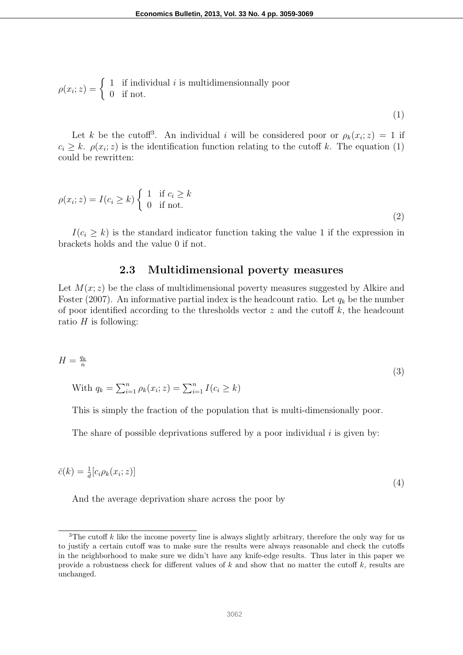$\rho(x_i; z) = \begin{cases} 1 & \text{if individual } i \text{ is multidimensionally poor} \\ 0 & \text{if not} \end{cases}$ 0 if not.

(1)

Let k be the cutoff<sup>3</sup>. An individual i will be considered poor or  $\rho_k(x_i; z) = 1$  if  $c_i \geq k$ .  $\rho(x_i; z)$  is the identification function relating to the cutoff k. The equation (1) could be rewritten:

$$
\rho(x_i; z) = I(c_i \ge k) \begin{cases} 1 & \text{if } c_i \ge k \\ 0 & \text{if not.} \end{cases}
$$
\n(2)

 $I(c_i \geq k)$  is the standard indicator function taking the value 1 if the expression in brackets holds and the value 0 if not.

#### 2.3 Multidimensional poverty measures

Let  $M(x; z)$  be the class of multidimensional poverty measures suggested by Alkire and Foster (2007). An informative partial index is the headcount ratio. Let  $q_k$  be the number of poor identified according to the thresholds vector  $z$  and the cutoff  $k$ , the headcount ratio  $H$  is following:

$$
H = \frac{q_k}{n} \tag{3}
$$

With  $q_k = \sum_{i=1}^n \rho_k(x_i; z) = \sum_{i=1}^n I(c_i \geq k)$ 

This is simply the fraction of the population that is multi-dimensionally poor.

The share of possible deprivations suffered by a poor individual  $i$  is given by:

$$
\bar{c}(k) = \frac{1}{d} [c_i \rho_k(x_i; z)] \tag{4}
$$

And the average deprivation share across the poor by

<sup>&</sup>lt;sup>3</sup>The cutoff k like the income poverty line is always slightly arbitrary, therefore the only way for us to justify a certain cutoff was to make sure the results were always reasonable and check the cutoffs in the neighborhood to make sure we didn't have any knife-edge results. Thus later in this paper we provide a robustness check for different values of  $k$  and show that no matter the cutoff  $k$ , results are unchanged.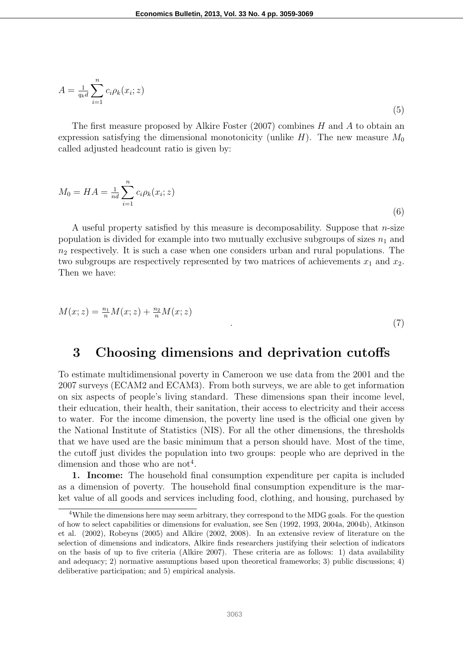$$
A = \frac{1}{q_k d} \sum_{i=1}^{n} c_i \rho_k(x_i; z)
$$
\n
$$
(5)
$$

The first measure proposed by Alkire Foster  $(2007)$  combines H and A to obtain an expression satisfying the dimensional monotonicity (unlike  $H$ ). The new measure  $M_0$ called adjusted headcount ratio is given by:

$$
M_0 = HA = \frac{1}{nd} \sum_{i=1}^{n} c_i \rho_k(x_i; z)
$$
\n(6)

A useful property satisfied by this measure is decomposability. Suppose that  $n$ -size population is divided for example into two mutually exclusive subgroups of sizes  $n_1$  and  $n_2$  respectively. It is such a case when one considers urban and rural populations. The two subgroups are respectively represented by two matrices of achievements  $x_1$  and  $x_2$ . Then we have:

$$
M(x; z) = \frac{n_1}{n} M(x; z) + \frac{n_2}{n} M(x; z)
$$
\n(7)

# 3 Choosing dimensions and deprivation cutoffs

To estimate multidimensional poverty in Cameroon we use data from the 2001 and the 2007 surveys (ECAM2 and ECAM3). From both surveys, we are able to get information on six aspects of people's living standard. These dimensions span their income level, their education, their health, their sanitation, their access to electricity and their access to water. For the income dimension, the poverty line used is the official one given by the National Institute of Statistics (NIS). For all the other dimensions, the thresholds that we have used are the basic minimum that a person should have. Most of the time, the cutoff just divides the population into two groups: people who are deprived in the dimension and those who are not<sup>4</sup>.

1. Income: The household final consumption expenditure per capita is included as a dimension of poverty. The household final consumption expenditure is the market value of all goods and services including food, clothing, and housing, purchased by

<sup>&</sup>lt;sup>4</sup>While the dimensions here may seem arbitrary, they correspond to the MDG goals. For the question of how to select capabilities or dimensions for evaluation, see Sen (1992, 1993, 2004a, 2004b), Atkinson et al. (2002), Robeyns (2005) and Alkire (2002, 2008). In an extensive review of literature on the selection of dimensions and indicators, Alkire finds researchers justifying their selection of indicators on the basis of up to five criteria (Alkire 2007). These criteria are as follows: 1) data availability and adequacy; 2) normative assumptions based upon theoretical frameworks; 3) public discussions; 4) deliberative participation; and 5) empirical analysis.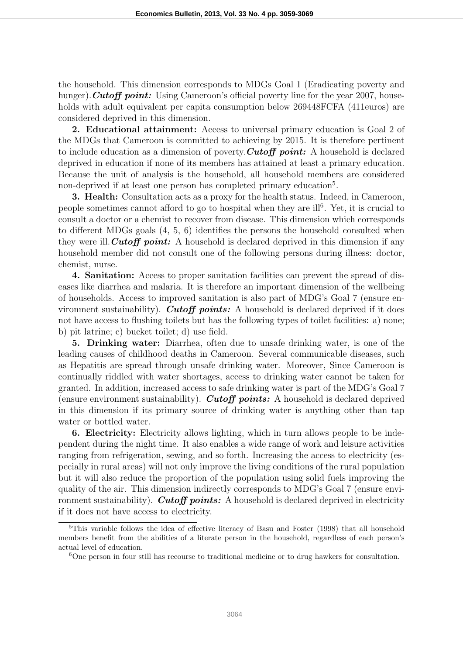the household. This dimension corresponds to MDGs Goal 1 (Eradicating poverty and hunger). **Cutoff point:** Using Cameroon's official poverty line for the year 2007, households with adult equivalent per capita consumption below 269448FCFA (411euros) are considered deprived in this dimension.

2. Educational attainment: Access to universal primary education is Goal 2 of the MDGs that Cameroon is committed to achieving by 2015. It is therefore pertinent to include education as a dimension of poverty. Cutoff point: A household is declared deprived in education if none of its members has attained at least a primary education. Because the unit of analysis is the household, all household members are considered non-deprived if at least one person has completed primary education<sup>5</sup>.

3. Health: Consultation acts as a proxy for the health status. Indeed, in Cameroon, people sometimes cannot afford to go to hospital when they are ill<sup>6</sup>. Yet, it is crucial to consult a doctor or a chemist to recover from disease. This dimension which corresponds to different MDGs goals (4, 5, 6) identifies the persons the household consulted when they were ill. **Cutoff point:** A household is declared deprived in this dimension if any household member did not consult one of the following persons during illness: doctor, chemist, nurse.

4. Sanitation: Access to proper sanitation facilities can prevent the spread of diseases like diarrhea and malaria. It is therefore an important dimension of the wellbeing of households. Access to improved sanitation is also part of MDG's Goal 7 (ensure environment sustainability). Cutoff points: A household is declared deprived if it does not have access to flushing toilets but has the following types of toilet facilities: a) none; b) pit latrine; c) bucket toilet; d) use field.

5. Drinking water: Diarrhea, often due to unsafe drinking water, is one of the leading causes of childhood deaths in Cameroon. Several communicable diseases, such as Hepatitis are spread through unsafe drinking water. Moreover, Since Cameroon is continually riddled with water shortages, access to drinking water cannot be taken for granted. In addition, increased access to safe drinking water is part of the MDG's Goal 7 (ensure environment sustainability). Cutoff points: A household is declared deprived in this dimension if its primary source of drinking water is anything other than tap water or bottled water.

6. Electricity: Electricity allows lighting, which in turn allows people to be independent during the night time. It also enables a wide range of work and leisure activities ranging from refrigeration, sewing, and so forth. Increasing the access to electricity (especially in rural areas) will not only improve the living conditions of the rural population but it will also reduce the proportion of the population using solid fuels improving the quality of the air. This dimension indirectly corresponds to MDG's Goal 7 (ensure environment sustainability). Cutoff points: A household is declared deprived in electricity if it does not have access to electricity.

<sup>&</sup>lt;sup>5</sup>This variable follows the idea of effective literacy of Basu and Foster (1998) that all household members benefit from the abilities of a literate person in the household, regardless of each person's actual level of education.

<sup>6</sup>One person in four still has recourse to traditional medicine or to drug hawkers for consultation.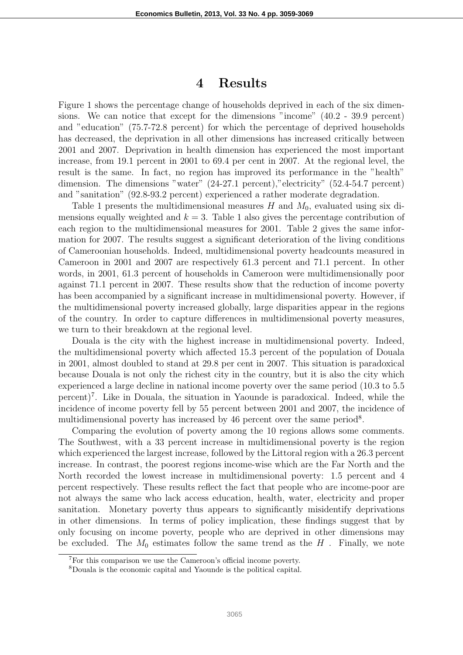### 4 Results

Figure 1 shows the percentage change of households deprived in each of the six dimensions. We can notice that except for the dimensions "income" (40.2 - 39.9 percent) and "education" (75.7-72.8 percent) for which the percentage of deprived households has decreased, the deprivation in all other dimensions has increased critically between 2001 and 2007. Deprivation in health dimension has experienced the most important increase, from 19.1 percent in 2001 to 69.4 per cent in 2007. At the regional level, the result is the same. In fact, no region has improved its performance in the "health" dimension. The dimensions "water" (24-27.1 percent), "electricity" (52.4-54.7 percent) and "sanitation" (92.8-93.2 percent) experienced a rather moderate degradation.

Table 1 presents the multidimensional measures H and  $M_0$ , evaluated using six dimensions equally weighted and  $k = 3$ . Table 1 also gives the percentage contribution of each region to the multidimensional measures for 2001. Table 2 gives the same information for 2007. The results suggest a significant deterioration of the living conditions of Cameroonian households. Indeed, multidimensional poverty headcounts measured in Cameroon in 2001 and 2007 are respectively 61.3 percent and 71.1 percent. In other words, in 2001, 61.3 percent of households in Cameroon were multidimensionally poor against 71.1 percent in 2007. These results show that the reduction of income poverty has been accompanied by a significant increase in multidimensional poverty. However, if the multidimensional poverty increased globally, large disparities appear in the regions of the country. In order to capture differences in multidimensional poverty measures, we turn to their breakdown at the regional level.

Douala is the city with the highest increase in multidimensional poverty. Indeed, the multidimensional poverty which affected 15.3 percent of the population of Douala in 2001, almost doubled to stand at 29.8 per cent in 2007. This situation is paradoxical because Douala is not only the richest city in the country, but it is also the city which experienced a large decline in national income poverty over the same period (10.3 to 5.5 percent)<sup>7</sup>. Like in Douala, the situation in Yaounde is paradoxical. Indeed, while the incidence of income poverty fell by 55 percent between 2001 and 2007, the incidence of multidimensional poverty has increased by 46 percent over the same period<sup>8</sup>.

Comparing the evolution of poverty among the 10 regions allows some comments. The Southwest, with a 33 percent increase in multidimensional poverty is the region which experienced the largest increase, followed by the Littoral region with a 26.3 percent increase. In contrast, the poorest regions income-wise which are the Far North and the North recorded the lowest increase in multidimensional poverty: 1.5 percent and 4 percent respectively. These results reflect the fact that people who are income-poor are not always the same who lack access education, health, water, electricity and proper sanitation. Monetary poverty thus appears to significantly misidentify deprivations in other dimensions. In terms of policy implication, these findings suggest that by only focusing on income poverty, people who are deprived in other dimensions may be excluded. The  $M_0$  estimates follow the same trend as the  $H$ . Finally, we note

<sup>7</sup>For this comparison we use the Cameroon's official income poverty.

<sup>8</sup>Douala is the economic capital and Yaounde is the political capital.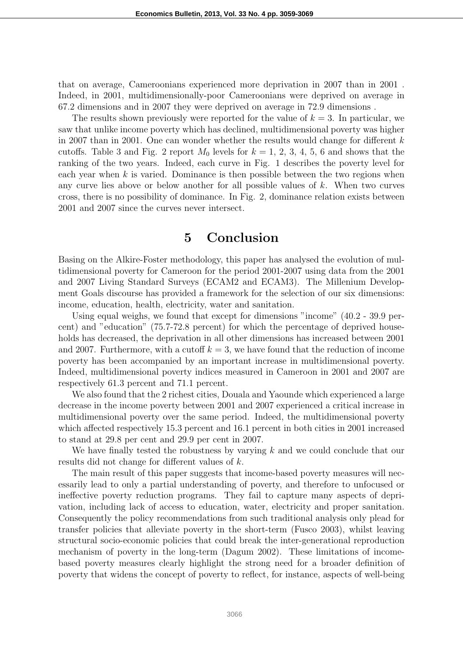that on average, Cameroonians experienced more deprivation in 2007 than in 2001 . Indeed, in 2001, multidimensionally-poor Cameroonians were deprived on average in 67.2 dimensions and in 2007 they were deprived on average in 72.9 dimensions .

The results shown previously were reported for the value of  $k = 3$ . In particular, we saw that unlike income poverty which has declined, multidimensional poverty was higher in 2007 than in 2001. One can wonder whether the results would change for different  $k$ cutoffs. Table 3 and Fig. 2 report  $M_0$  levels for  $k = 1, 2, 3, 4, 5, 6$  and shows that the ranking of the two years. Indeed, each curve in Fig. 1 describes the poverty level for each year when  $k$  is varied. Dominance is then possible between the two regions when any curve lies above or below another for all possible values of k. When two curves cross, there is no possibility of dominance. In Fig. 2, dominance relation exists between 2001 and 2007 since the curves never intersect.

# 5 Conclusion

Basing on the Alkire-Foster methodology, this paper has analysed the evolution of multidimensional poverty for Cameroon for the period 2001-2007 using data from the 2001 and 2007 Living Standard Surveys (ECAM2 and ECAM3). The Millenium Development Goals discourse has provided a framework for the selection of our six dimensions: income, education, health, electricity, water and sanitation.

Using equal weighs, we found that except for dimensions "income" (40.2 - 39.9 percent) and "education" (75.7-72.8 percent) for which the percentage of deprived households has decreased, the deprivation in all other dimensions has increased between 2001 and 2007. Furthermore, with a cutoff  $k = 3$ , we have found that the reduction of income poverty has been accompanied by an important increase in multidimensional poverty. Indeed, multidimensional poverty indices measured in Cameroon in 2001 and 2007 are respectively 61.3 percent and 71.1 percent.

We also found that the 2 richest cities, Douala and Yaounde which experienced a large decrease in the income poverty between 2001 and 2007 experienced a critical increase in multidimensional poverty over the same period. Indeed, the multidimensional poverty which affected respectively 15.3 percent and 16.1 percent in both cities in 2001 increased to stand at 29.8 per cent and 29.9 per cent in 2007.

We have finally tested the robustness by varying  $k$  and we could conclude that our results did not change for different values of k.

The main result of this paper suggests that income-based poverty measures will necessarily lead to only a partial understanding of poverty, and therefore to unfocused or ineffective poverty reduction programs. They fail to capture many aspects of deprivation, including lack of access to education, water, electricity and proper sanitation. Consequently the policy recommendations from such traditional analysis only plead for transfer policies that alleviate poverty in the short-term (Fusco 2003), whilst leaving structural socio-economic policies that could break the inter-generational reproduction mechanism of poverty in the long-term (Dagum 2002). These limitations of incomebased poverty measures clearly highlight the strong need for a broader definition of poverty that widens the concept of poverty to reflect, for instance, aspects of well-being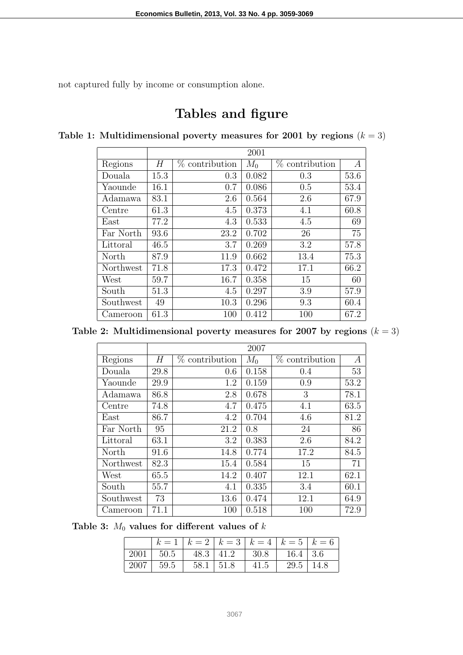not captured fully by income or consumption alone.

# Tables and figure

Table 1: Multidimensional poverty measures for 2001 by regions  $(k = 3)$ 

|           | 2001 |                  |       |                  |      |  |
|-----------|------|------------------|-------|------------------|------|--|
| Regions   | Н    | $%$ contribution | $M_0$ | $%$ contribution | А    |  |
| Douala    | 15.3 | 0.3              | 0.082 | 0.3              | 53.6 |  |
| Yaounde   | 16.1 | 0.7              | 0.086 | 0.5              | 53.4 |  |
| Adamawa   | 83.1 | 2.6              | 0.564 | 2.6              | 67.9 |  |
| Centre    | 61.3 | 4.5              | 0.373 | 4.1              | 60.8 |  |
| East      | 77.2 | 4.3              | 0.533 | 4.5              | 69   |  |
| Far North | 93.6 | 23.2             | 0.702 | 26               | 75   |  |
| Littoral  | 46.5 | 3.7              | 0.269 | 3.2              | 57.8 |  |
| North     | 87.9 | 11.9             | 0.662 | 13.4             | 75.3 |  |
| Northwest | 71.8 | 17.3             | 0.472 | 17.1             | 66.2 |  |
| West      | 59.7 | 16.7             | 0.358 | 15               | 60   |  |
| South     | 51.3 | 4.5              | 0.297 | 3.9              | 57.9 |  |
| Southwest | 49   | 10.3             | 0.296 | 9.3              | 60.4 |  |
| Cameroon  | 61.3 | 100              | 0.412 | 100              | 67.2 |  |

Table 2: Multidimensional poverty measures for 2007 by regions  $(k = 3)$ 

|           | 2007 |                |       |                  |                  |  |
|-----------|------|----------------|-------|------------------|------------------|--|
| Regions   | H    | % contribution | $M_0$ | $%$ contribution | $\boldsymbol{A}$ |  |
| Douala    | 29.8 | 0.6            | 0.158 | 0.4              | 53               |  |
| Yaounde   | 29.9 | 1.2            | 0.159 | 0.9              | 53.2             |  |
| Adamawa   | 86.8 | 2.8            | 0.678 | 3                | 78.1             |  |
| Centre    | 74.8 | 4.7            | 0.475 | 4.1              | 63.5             |  |
| East      | 86.7 | 4.2            | 0.704 | 4.6              | 81.2             |  |
| Far North | 95   | 21.2           | 0.8   | 24               | 86               |  |
| Littoral  | 63.1 | 3.2            | 0.383 | 2.6              | 84.2             |  |
| North     | 91.6 | 14.8           | 0.774 | 17.2             | 84.5             |  |
| Northwest | 82.3 | 15.4           | 0.584 | 15               | 71               |  |
| West      | 65.5 | 14.2           | 0.407 | 12.1             | 62.1             |  |
| South     | 55.7 | 4.1            | 0.335 | 3.4              | 60.1             |  |
| Southwest | 73   | 13.6           | 0.474 | 12.1             | 64.9             |  |
| Cameroon  | 71.1 | 100            | 0.518 | 100              | 72.9             |  |

Table 3:  $\mathcal{M}_0$  values for different values of  $k$ 

|               | $k=1$   $k=2$   $k=3$   $k=4$   $k=5$   $k=6$ |      |                 |  |
|---------------|-----------------------------------------------|------|-----------------|--|
|               | 2001   50.5   48.3   41.2   30.8   16.4   3.6 |      |                 |  |
| $2007$   59.5 | $58.1 \mid 51.8$                              | 41.5 | $29.5 \pm 14.8$ |  |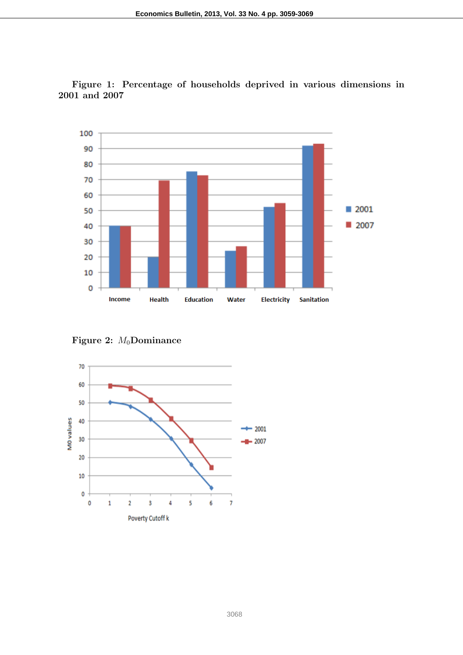

Figure 1: Percentage of households deprived in various dimensions in 2001 and 2007

Figure 2:  $M_0$ Dominance